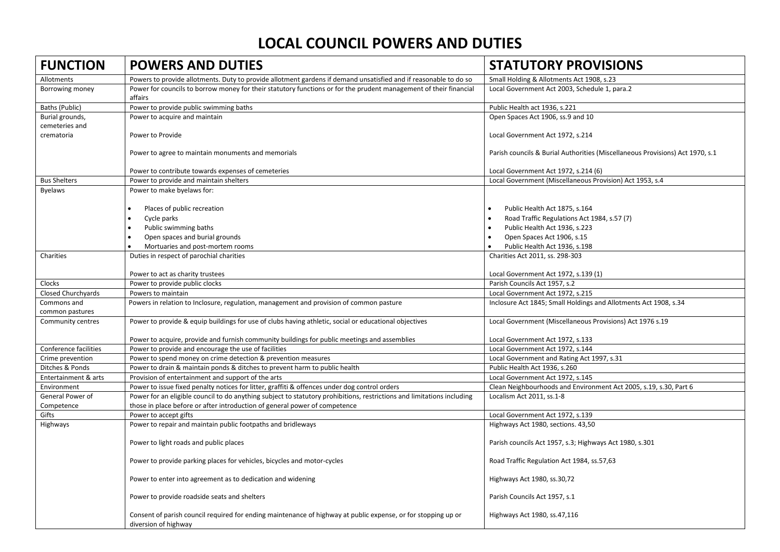## **LOCAL COUNCIL POWERS AND DUTIES**

| <b>FUNCTION</b>                   | <b>POWERS AND DUTIES</b>                                                                                                              | <b>STATUTORY PROVISIONS</b>                                                   |
|-----------------------------------|---------------------------------------------------------------------------------------------------------------------------------------|-------------------------------------------------------------------------------|
| Allotments                        | Powers to provide allotments. Duty to provide allotment gardens if demand unsatisfied and if reasonable to do so                      | Small Holding & Allotments Act 1908, s.23                                     |
| Borrowing money                   | Power for councils to borrow money for their statutory functions or for the prudent management of their financial<br>affairs          | Local Government Act 2003, Schedule 1, para.2                                 |
| Baths (Public)                    | Power to provide public swimming baths                                                                                                | Public Health act 1936, s.221                                                 |
| Burial grounds,<br>cemeteries and | Power to acquire and maintain                                                                                                         | Open Spaces Act 1906, ss.9 and 10                                             |
| crematoria                        | Power to Provide                                                                                                                      | Local Government Act 1972, s.214                                              |
|                                   | Power to agree to maintain monuments and memorials                                                                                    | Parish councils & Burial Authorities (Miscellaneous Provisions) Act 1970, s.1 |
|                                   | Power to contribute towards expenses of cemeteries                                                                                    | Local Government Act 1972, s.214 (6)                                          |
| <b>Bus Shelters</b>               | Power to provide and maintain shelters                                                                                                | Local Government (Miscellaneous Provision) Act 1953, s.4                      |
| <b>Byelaws</b>                    | Power to make byelaws for:                                                                                                            |                                                                               |
|                                   | Places of public recreation                                                                                                           | Public Health Act 1875, s.164                                                 |
|                                   | Cycle parks                                                                                                                           | Road Traffic Regulations Act 1984, s.57 (7)                                   |
|                                   | Public swimming baths                                                                                                                 | Public Health Act 1936, s.223                                                 |
|                                   | Open spaces and burial grounds                                                                                                        | Open Spaces Act 1906, s.15                                                    |
|                                   | Mortuaries and post-mortem rooms                                                                                                      | Public Health Act 1936, s.198                                                 |
| Charities                         | Duties in respect of parochial charities                                                                                              | Charities Act 2011, ss. 298-303                                               |
|                                   | Power to act as charity trustees                                                                                                      | Local Government Act 1972, s.139 (1)                                          |
| Clocks                            | Power to provide public clocks                                                                                                        | Parish Councils Act 1957, s.2                                                 |
| <b>Closed Churchyards</b>         | Powers to maintain                                                                                                                    | Local Government Act 1972, s.215                                              |
| Commons and<br>common pastures    | Powers in relation to Inclosure, regulation, management and provision of common pasture                                               | Inclosure Act 1845; Small Holdings and Allotments Act 1908, s.34              |
| Community centres                 | Power to provide & equip buildings for use of clubs having athletic, social or educational objectives                                 | Local Government (Miscellaneous Provisions) Act 1976 s.19                     |
|                                   | Power to acquire, provide and furnish community buildings for public meetings and assemblies                                          | Local Government Act 1972, s.133                                              |
| Conference facilities             | Power to provide and encourage the use of facilities                                                                                  | Local Government Act 1972, s.144                                              |
| Crime prevention                  | Power to spend money on crime detection & prevention measures                                                                         | Local Government and Rating Act 1997, s.31                                    |
| Ditches & Ponds                   | Power to drain & maintain ponds & ditches to prevent harm to public health                                                            | Public Health Act 1936, s.260                                                 |
| Entertainment & arts              | Provision of entertainment and support of the arts                                                                                    | Local Government Act 1972, s.145                                              |
| Environment                       | Power to issue fixed penalty notices for litter, graffiti & offences under dog control orders                                         | Clean Neighbourhoods and Environment Act 2005, s.19, s.30, Part 6             |
| General Power of                  | Power for an eligible council to do anything subject to statutory prohibitions, restrictions and limitations including                | Localism Act 2011, ss.1-8                                                     |
| Competence                        | those in place before or after introduction of general power of competence                                                            |                                                                               |
| Gifts                             | Power to accept gifts                                                                                                                 | Local Government Act 1972, s.139                                              |
| Highways                          | Power to repair and maintain public footpaths and bridleways                                                                          | Highways Act 1980, sections. 43,50                                            |
|                                   | Power to light roads and public places                                                                                                | Parish councils Act 1957, s.3; Highways Act 1980, s.301                       |
|                                   | Power to provide parking places for vehicles, bicycles and motor-cycles                                                               | Road Traffic Regulation Act 1984, ss.57,63                                    |
|                                   | Power to enter into agreement as to dedication and widening                                                                           | Highways Act 1980, ss.30,72                                                   |
|                                   | Power to provide roadside seats and shelters                                                                                          | Parish Councils Act 1957, s.1                                                 |
|                                   | Consent of parish council required for ending maintenance of highway at public expense, or for stopping up or<br>diversion of highway | Highways Act 1980, ss.47,116                                                  |